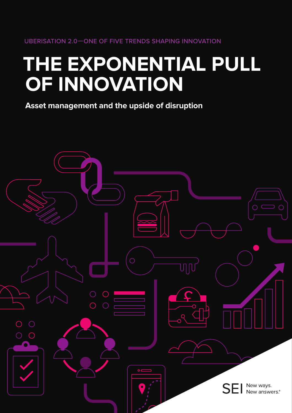# **THE EXPONENTIAL PULL OF INNOVATION**

**Asset management and the upside of disruption** 

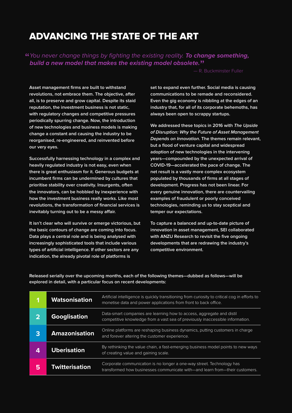## ADVANCING THE STATE OF THE ART

"*You never change things by fighting the existing reality. To change something, build a new model that makes the existing model obsolete.*"

— R. Buckminster Fuller

**Asset management firms are built to withstand revolutions, not embrace them. The objective, after all, is to preserve and grow capital. Despite its staid reputation, the investment business is not static, with regulatory changes and competitive pressures periodically spurring change. Now, the introduction of new technologies and business models is making change a constant and causing the industry to be reorganised, re-engineered, and reinvented before our very eyes.**

**Successfully harnessing technology in a complex and heavily regulated industry is not easy, even when there is great enthusiasm for it. Generous budgets at incumbent firms can be undermined by cultures that prioritise stability over creativity. Insurgents, often the innovators, can be hobbled by inexperience with how the investment business really works. Like most revolutions, the transformation of financial services is inevitably turning out to be a messy affair.**

**It isn't clear who will survive or emerge victorious, but the basic contours of change are coming into focus. Data plays a central role and is being analysed with increasingly sophisticated tools that include various types of artificial intelligence. If other sectors are any indication, the already pivotal role of platforms is** 

**set to expand even further. Social media is causing communications to be remade and reconsidered. Even the gig economy is nibbling at the edges of an industry that, for all of its corporate behemoths, has always been open to scrappy startups.**

**We addressed these topics in 2016 with The Upside of Disruption: Why the Future of Asset Management Depends on Innovation. The themes remain relevant, but a flood of venture capital and widespread adoption of new technologies in the intervening years—compounded by the unexpected arrival of COVID-19—accelerated the pace of change. The net result is a vastly more complex ecosystem populated by thousands of firms at all stages of development. Progress has not been linear. For every genuine innovation, there are countervailing examples of fraudulent or poorly conceived technologies, reminding us to stay sceptical and temper our expectations.** 

**To capture a balanced and up-to-date picture of innovation in asset management, SEI collaborated with ANZU Research to revisit the five ongoing developments that are redrawing the industry's competitive environment.**

**Released serially over the upcoming months, each of the following themes—dubbed as follows—will be explored in detail, with a particular focus on recent developments:**

| 1 | <b>Watsonisation</b>  | Artificial intelligence is guickly transitioning from curiosity to critical cog in efforts to<br>monetise data and power applications from front to back office. |
|---|-----------------------|------------------------------------------------------------------------------------------------------------------------------------------------------------------|
|   | <b>Googlisation</b>   | Data-smart companies are learning how to access, aggregate and distil<br>competitive knowledge from a vast sea of previously inaccessible information.           |
| 3 | <b>Amazonisation</b>  | Online platforms are reshaping business dynamics, putting customers in charge<br>and forever altering the customer experience.                                   |
| 4 | <b>Uberisation</b>    | By rethinking the value chain, a fast-emerging business model points to new ways<br>of creating value and gaining scale.                                         |
| 5 | <b>Twitterisation</b> | Corporate communication is no longer a one-way street. Technology has<br>transformed how businesses communicate with—and learn from—their customers.             |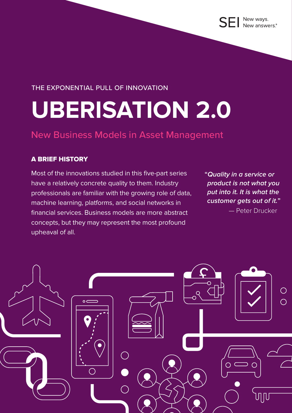### THE EXPONENTIAL PULL OF INNOVATION

# **UBERISATION 2.0**

## New Business Models in Asset Management

### A BRIEF HISTORY

Most of the innovations studied in this five-part series have a relatively concrete quality to them. Industry professionals are familiar with the growing role of data, machine learning, platforms, and social networks in financial services. Business models are more abstract concepts, but they may represent the most profound upheaval of all.

**"Quality in a service or product is not what you put into it. It is what the customer gets out of it."** 

— Peter Drucker

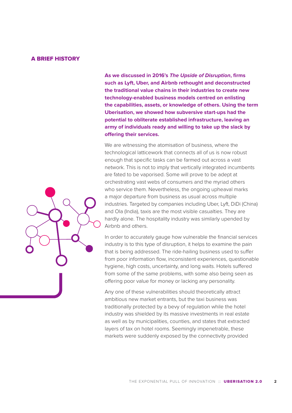#### A BRIEF HISTORY

**As we discussed in 2016's** *[The Upside of Disruption](https://seic.com/en-gb/knowledge-center/upside-disruption)***, firms such as Lyft, Uber, and Airbnb rethought and deconstructed the traditional value chains in their industries to create new technology-enabled business models centred on enlisting the capabilities, assets, or knowledge of others. Using the term Uberisation, we showed how subversive start-ups had the potential to obliterate established infrastructure, leaving an army of individuals ready and willing to take up the slack by offering their services.**

We are witnessing the atomisation of business, where the technological latticework that connects all of us is now robust enough that specific tasks can be farmed out across a vast network. This is not to imply that vertically integrated incumbents are fated to be vaporised. Some will prove to be adept at orchestrating vast webs of consumers and the myriad others who service them. Nevertheless, the ongoing upheaval marks a major departure from business as usual across multiple industries. Targeted by companies including Uber, Lyft, DiDi (China) and Ola (India), taxis are the most visible casualties. They are hardly alone. The hospitality industry was similarly upended by Airbnb and others.

In order to accurately gauge how vulnerable the financial services industry is to this type of disruption, it helps to examine the pain that is being addressed. The ride-hailing business used to suffer from poor information flow, inconsistent experiences, questionable hygiene, high costs, uncertainty, and long waits. Hotels suffered from some of the same problems, with some also being seen as offering poor value for money or lacking any personality.

Any one of these vulnerabilities should theoretically attract ambitious new market entrants, but the taxi business was traditionally protected by a bevy of regulation while the hotel industry was shielded by its massive investments in real estate as well as by municipalities, counties, and states that extracted layers of tax on hotel rooms. Seemingly impenetrable, these markets were suddenly exposed by the connectivity provided

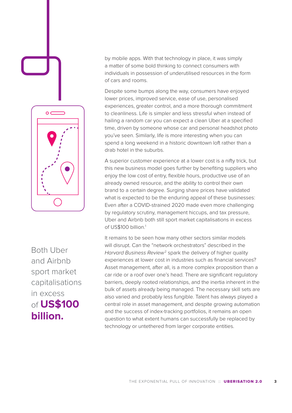

Both Uber and Airbnb sport market capitalisations in excess of **US\$100 billion.**

by mobile apps. With that technology in place, it was simply a matter of some bold thinking to connect consumers with individuals in possession of underutilised resources in the form of cars and rooms.

Despite some bumps along the way, consumers have enjoyed lower prices, improved service, ease of use, personalised experiences, greater control, and a more thorough commitment to cleanliness. Life is simpler and less stressful when instead of hailing a random car you can expect a clean Uber at a specified time, driven by someone whose car and personal headshot photo you've seen. Similarly, life is more interesting when you can spend a long weekend in a historic downtown loft rather than a drab hotel in the suburbs.

A superior customer experience at a lower cost is a nifty trick, but this new business model goes further by benefiting suppliers who enjoy the low cost of entry, flexible hours, productive use of an already owned resource, and the ability to control their own brand to a certain degree. Surging share prices have validated what is expected to be the enduring appeal of these businesses: Even after a COVID-strained 2020 made even more challenging by regulatory scrutiny, management hiccups, and tax pressure, Uber and Airbnb both still sport market capitalisations in excess of US\$100 billion.<sup>1</sup>

It remains to be seen how many other sectors similar models will disrupt. Can the "network orchestrators" described in the *Harvard Business Review*2 spark the delivery of higher quality experiences at lower cost in industries such as financial services? Asset management, after all, is a more complex proposition than a car ride or a roof over one's head. There are significant regulatory barriers, deeply rooted relationships, and the inertia inherent in the bulk of assets already being managed. The necessary skill sets are also varied and probably less fungible. Talent has always played a central role in asset management, and despite growing automation and the success of index-tracking portfolios, it remains an open question to what extent humans can successfully be replaced by technology or untethered from larger corporate entities.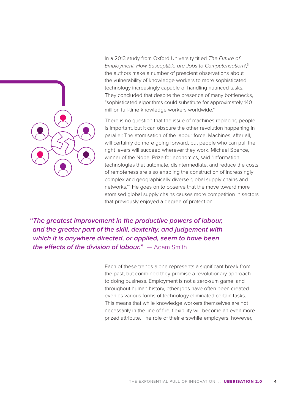In a 2013 study from Oxford University titled *The Future of Employment: How Susceptible are Jobs to Computerisation?*, 3 the authors make a number of prescient observations about the vulnerability of knowledge workers to more sophisticated technology increasingly capable of handling nuanced tasks. They concluded that despite the presence of many bottlenecks, "sophisticated algorithms could substitute for approximately 140 million full-time knowledge workers worldwide."

There is no question that the issue of machines replacing people is important, but it can obscure the other revolution happening in parallel: The atomisation of the labour force. Machines, after all, will certainly do more going forward, but people who can pull the right levers will succeed wherever they work. Michael Spence, winner of the Nobel Prize for economics, said "information technologies that automate, disintermediate, and reduce the costs of remoteness are also enabling the construction of increasingly complex and geographically diverse global supply chains and networks."4 He goes on to observe that the move toward more atomised global supply chains causes more competition in sectors that previously enjoyed a degree of protection.

**"The greatest improvement in the productive powers of labour, and the greater part of the skill, dexterity, and judgement with which it is anywhere directed, or applied, seem to have been the effects of the division of labour."** — Adam Smith

> Each of these trends alone represents a significant break from the past, but combined they promise a revolutionary approach to doing business. Employment is not a zero-sum game, and throughout human history, other jobs have often been created even as various forms of technology eliminated certain tasks. This means that while knowledge workers themselves are not necessarily in the line of fire, flexibility will become an even more prized attribute. The role of their erstwhile employers, however,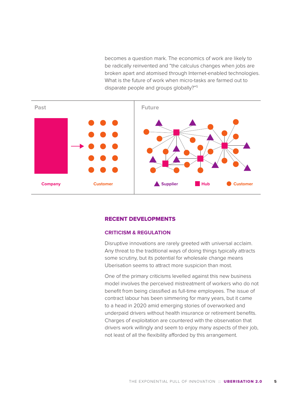becomes a question mark. The economics of work are likely to be radically reinvented and "the calculus changes when jobs are broken apart and atomised through Internet-enabled technologies. What is the future of work when micro-tasks are farmed out to disparate people and groups globally?"5



#### RECENT DEVELOPMENTS

#### **CRITICISM & REGULATION**

Disruptive innovations are rarely greeted with universal acclaim. Any threat to the traditional ways of doing things typically attracts some scrutiny, but its potential for wholesale change means Uberisation seems to attract more suspicion than most.

One of the primary criticisms levelled against this new business model involves the perceived mistreatment of workers who do not benefit from being classified as full-time employees. The issue of contract labour has been simmering for many years, but it came to a head in 2020 amid emerging stories of overworked and underpaid drivers without health insurance or retirement benefits. Charges of exploitation are countered with the observation that drivers work willingly and seem to enjoy many aspects of their job, not least of all the flexibility afforded by this arrangement.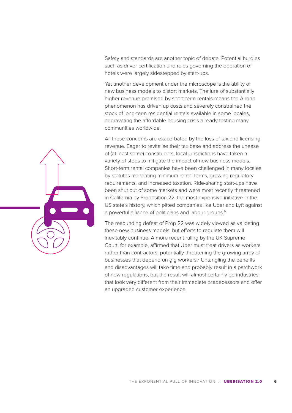Safety and standards are another topic of debate. Potential hurdles such as driver certification and rules governing the operation of hotels were largely sidestepped by start-ups.

Yet another development under the microscope is the ability of new business models to distort markets. The lure of substantially higher revenue promised by short-term rentals means the Airbnb phenomenon has driven up costs and severely constrained the stock of long-term residential rentals available in some locales, aggravating the affordable housing crisis already testing many communities worldwide.

All these concerns are exacerbated by the loss of tax and licensing revenue. Eager to revitalise their tax base and address the unease of (at least some) constituents, local jurisdictions have taken a variety of steps to mitigate the impact of new business models. Short-term rental companies have been challenged in many locales by statutes mandating minimum rental terms, growing regulatory requirements, and increased taxation. Ride-sharing start-ups have been shut out of some markets and were most recently threatened in California by Proposition 22, the most expensive initiative in the US state's history, which pitted companies like Uber and Lyft against a powerful alliance of politicians and labour groups.<sup>6</sup>

The resounding defeat of Prop 22 was widely viewed as validating these new business models, but efforts to regulate them will inevitably continue. A more recent ruling by the UK Supreme Court, for example, affirmed that Uber must treat drivers as workers rather than contractors, potentially threatening the growing array of businesses that depend on gig workers.<sup>7</sup> Untangling the benefits and disadvantages will take time and probably result in a patchwork of new regulations, but the result will almost certainly be industries that look very different from their immediate predecessors and offer an upgraded customer experience.

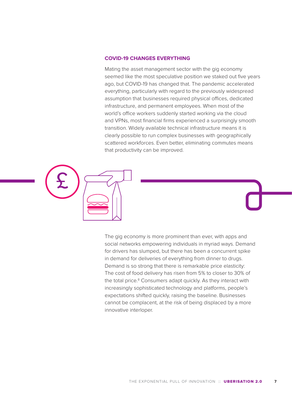#### **COVID-19 CHANGES EVERYTHING**

Mating the asset management sector with the gig economy seemed like the most speculative position we staked out five years ago, but COVID-19 has changed that. The pandemic accelerated everything, particularly with regard to the previously widespread assumption that businesses required physical offices, dedicated infrastructure, and permanent employees. When most of the world's office workers suddenly started working via the cloud and VPNs, most financial firms experienced a surprisingly smooth transition. Widely available technical infrastructure means it is clearly possible to run complex businesses with geographically scattered workforces. Even better, eliminating commutes means that productivity can be improved.



The gig economy is more prominent than ever, with apps and social networks empowering individuals in myriad ways. Demand for drivers has slumped, but there has been a concurrent spike in demand for deliveries of everything from dinner to drugs. Demand is so strong that there is remarkable price elasticity: The cost of food delivery has risen from 5% to closer to 30% of the total price.<sup>8</sup> Consumers adapt quickly. As they interact with increasingly sophisticated technology and platforms, people's expectations shifted quickly, raising the baseline. Businesses cannot be complacent, at the risk of being displaced by a more innovative interloper.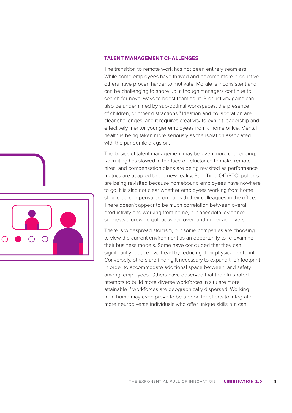

The transition to remote work has not been entirely seamless. While some employees have thrived and become more productive, others have proven harder to motivate. Morale is inconsistent and can be challenging to shore up, although managers continue to search for novel ways to boost team spirit. Productivity gains can also be undermined by sub-optimal workspaces, the presence of children, or other distractions.<sup>9</sup> Ideation and collaboration are clear challenges, and it requires creativity to exhibit leadership and effectively mentor younger employees from a home office. Mental health is being taken more seriously as the isolation associated with the pandemic drags on.

The basics of talent management may be even more challenging. Recruiting has slowed in the face of reluctance to make remote hires, and compensation plans are being revisited as performance metrics are adapted to the new reality. Paid Time Off (PTO) policies are being revisited because homebound employees have nowhere to go. It is also not clear whether employees working from home should be compensated on par with their colleagues in the office. There doesn't appear to be much correlation between overall productivity and working from home, but anecdotal evidence suggests a growing gulf between over- and under-achievers.

There is widespread stoicism, but some companies are choosing to view the current environment as an opportunity to re-examine their business models. Some have concluded that they can significantly reduce overhead by reducing their physical footprint. Conversely, others are finding it necessary to expand their footprint in order to accommodate additional space between, and safety among, employees. Others have observed that their frustrated attempts to build more diverse workforces in situ are more attainable if workforces are geographically dispersed. Working from home may even prove to be a boon for efforts to integrate more neurodiverse individuals who offer unique skills but can

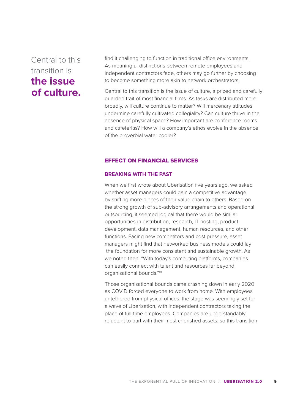## Central to this transition is **the issue of culture.**

find it challenging to function in traditional office environments. As meaningful distinctions between remote employees and independent contractors fade, others may go further by choosing to become something more akin to network orchestrators.

Central to this transition is the issue of culture, a prized and carefully guarded trait of most financial firms. As tasks are distributed more broadly, will culture continue to matter? Will mercenary attitudes undermine carefully cultivated collegiality? Can culture thrive in the absence of physical space? How important are conference rooms and cafeterias? How will a company's ethos evolve in the absence of the proverbial water cooler?

#### EFFECT ON FINANCIAL SERVICES

#### **BREAKING WITH THE PAST**

When we first wrote about Uberisation five years ago, we asked whether asset managers could gain a competitive advantage by shifting more pieces of their value chain to others. Based on the strong growth of sub-advisory arrangements and operational outsourcing, it seemed logical that there would be similar opportunities in distribution, research, IT hosting, product development, data management, human resources, and other functions. Facing new competitors and cost pressure, asset managers might find that networked business models could lay the foundation for more consistent and sustainable growth. As we noted then, "With today's computing platforms, companies can easily connect with talent and resources far beyond organisational bounds."10

Those organisational bounds came crashing down in early 2020 as COVID forced everyone to work from home. With employees untethered from physical offices, the stage was seemingly set for a wave of Uberisation, with independent contractors taking the place of full-time employees. Companies are understandably reluctant to part with their most cherished assets, so this transition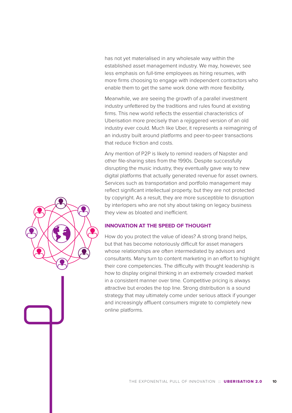has not yet materialised in any wholesale way within the established asset management industry. We may, however, see less emphasis on full-time employees as hiring resumes, with more firms choosing to engage with independent contractors who enable them to get the same work done with more flexibility.

Meanwhile, we are seeing the growth of a parallel investment industry unfettered by the traditions and rules found at existing firms. This new world reflects the essential characteristics of Uberisation more precisely than a rejiggered version of an old industry ever could. Much like Uber, it represents a reimagining of an industry built around platforms and peer-to-peer transactions that reduce friction and costs.

Any mention of P2P is likely to remind readers of Napster and other file-sharing sites from the 1990s. Despite successfully disrupting the music industry, they eventually gave way to new digital platforms that actually generated revenue for asset owners. Services such as transportation and portfolio management may reflect significant intellectual property, but they are not protected by copyright. As a result, they are more susceptible to disruption by interlopers who are not shy about taking on legacy business they view as bloated and inefficient.

#### **INNOVATION AT THE SPEED OF THOUGHT**

How do you protect the value of ideas? A strong brand helps, but that has become notoriously difficult for asset managers whose relationships are often intermediated by advisors and consultants. Many turn to content marketing in an effort to highlight their core competencies. The difficulty with thought leadership is how to display original thinking in an extremely crowded market in a consistent manner over time. Competitive pricing is always attractive but erodes the top line. Strong distribution is a sound strategy that may ultimately come under serious attack if younger and increasingly affluent consumers migrate to completely new online platforms.

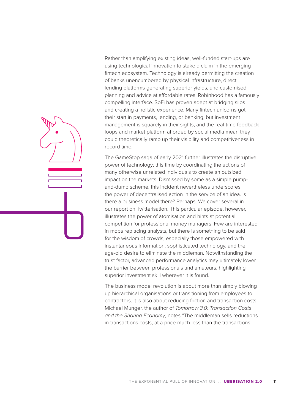Rather than amplifying existing ideas, well-funded start-ups are using technological innovation to stake a claim in the emerging fintech ecosystem. Technology is already permitting the creation of banks unencumbered by physical infrastructure, direct lending platforms generating superior yields, and customised planning and advice at affordable rates. Robinhood has a famously compelling interface. SoFi has proven adept at bridging silos and creating a holistic experience. Many fintech unicorns got their start in payments, lending, or banking, but investment management is squarely in their sights, and the real-time feedback loops and market platform afforded by social media mean they could theoretically ramp up their visibility and competitiveness in record time.

The GameStop saga of early 2021 further illustrates the disruptive power of technology; this time by coordinating the actions of many otherwise unrelated individuals to create an outsized impact on the markets. Dismissed by some as a simple pumpand-dump scheme, this incident nevertheless underscores the power of decentralised action in the service of an idea. Is there a business model there? Perhaps. We cover several in our report on Twitterisation. This particular episode, however, illustrates the power of atomisation and hints at potential competition for professional money managers. Few are interested in mobs replacing analysts, but there is something to be said for the wisdom of crowds, especially those empowered with instantaneous information, sophisticated technology, and the age-old desire to eliminate the middleman. Notwithstanding the trust factor, advanced performance analytics may ultimately lower the barrier between professionals and amateurs, highlighting superior investment skill wherever it is found.

The business model revolution is about more than simply blowing up hierarchical organisations or transitioning from employees to contractors. It is also about reducing friction and transaction costs. Michael Munger, the author of *Tomorrow 3.0: Transaction Costs and the Sharing Economy*, notes "The middleman sells reductions in transactions costs, at a price much less than the transactions

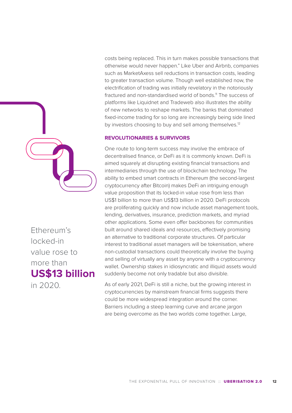

Ethereum's locked-in value rose to more than **US\$13 billion**

in 2020.

costs being replaced. This in turn makes possible transactions that otherwise would never happen." Like Uber and Airbnb, companies such as MarketAxess sell reductions in transaction costs, leading to greater transaction volume. Though well established now, the electrification of trading was initially revelatory in the notoriously fractured and non-standardised world of bonds.<sup>11</sup> The success of platforms like Liquidnet and Tradeweb also illustrates the ability of new networks to reshape markets. The banks that dominated fixed-income trading for so long are increasingly being side lined by investors choosing to buy and sell among themselves.<sup>12</sup>

#### **REVOLUTIONARIES & SURVIVORS**

One route to long-term success may involve the embrace of decentralised finance, or DeFi as it is commonly known. DeFi is aimed squarely at disrupting existing financial transactions and intermediaries through the use of blockchain technology. The ability to embed smart contracts in Ethereum (the second-largest cryptocurrency after Bitcoin) makes DeFi an intriguing enough value proposition that its locked-in value rose from less than US\$1 billion to more than US\$13 billion in 2020. DeFi protocols are proliferating quickly and now include asset management tools, lending, derivatives, insurance, prediction markets, and myriad other applications. Some even offer backbones for communities built around shared ideals and resources, effectively promising an alternative to traditional corporate structures. Of particular interest to traditional asset managers will be tokenisation, where non-custodial transactions could theoretically involve the buying and selling of virtually any asset by anyone with a cryptocurrency wallet. Ownership stakes in idiosyncratic and illiquid assets would suddenly become not only tradable but also divisible.

As of early 2021, DeFi is still a niche, but the growing interest in cryptocurrencies by mainstream financial firms suggests there could be more widespread integration around the corner. Barriers including a steep learning curve and arcane jargon are being overcome as the two worlds come together. Large,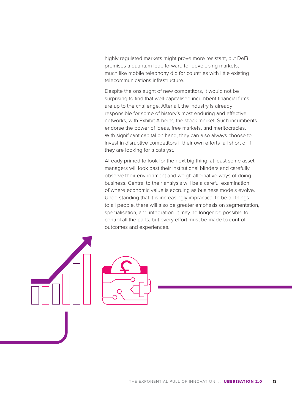highly regulated markets might prove more resistant, but DeFi promises a quantum leap forward for developing markets, much like mobile telephony did for countries with little existing telecommunications infrastructure.

Despite the onslaught of new competitors, it would not be surprising to find that well-capitalised incumbent financial firms are up to the challenge. After all, the industry is already responsible for some of history's most enduring and effective networks, with Exhibit A being the stock market. Such incumbents endorse the power of ideas, free markets, and meritocracies. With significant capital on hand, they can also always choose to invest in disruptive competitors if their own efforts fall short or if they are looking for a catalyst.

Already primed to look for the next big thing, at least some asset managers will look past their institutional blinders and carefully observe their environment and weigh alternative ways of doing business. Central to their analysis will be a careful examination of where economic value is accruing as business models evolve. Understanding that it is increasingly impractical to be all things to all people, there will also be greater emphasis on segmentation, specialisation, and integration. It may no longer be possible to control all the parts, but every effort must be made to control outcomes and experiences.

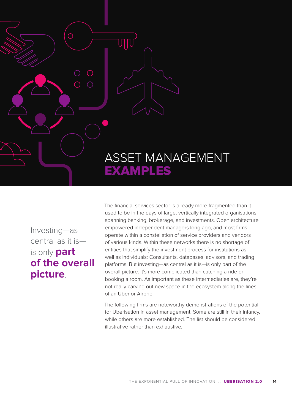# ASSET MANAGEMENT EXAMPLES

Investing—as central as it is is only **part of the overall picture**.

 $\bigcap$ 

ហុ <mark>ប</mark>

The financial services sector is already more fragmented than it used to be in the days of large, vertically integrated organisations spanning banking, brokerage, and investments. Open architecture empowered independent managers long ago, and most firms operate within a constellation of service providers and vendors of various kinds. Within these networks there is no shortage of entities that simplify the investment process for institutions as well as individuals: Consultants, databases, advisors, and trading platforms. But investing—as central as it is—is only part of the overall picture. It's more complicated than catching a ride or booking a room. As important as these intermediaries are, they're not really carving out new space in the ecosystem along the lines of an Uber or Airbnb.

The following firms are noteworthy demonstrations of the potential for Uberisation in asset management. Some are still in their infancy, while others are more established. The list should be considered illustrative rather than exhaustive.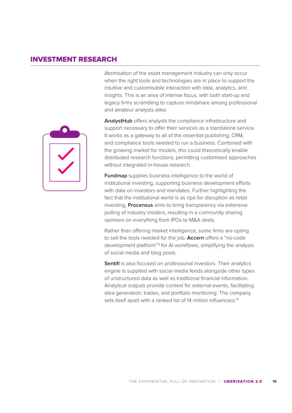#### INVESTMENT RESEARCH

Atomisation of the asset management industry can only occur when the right tools and technologies are in place to support the intuitive and customisable interaction with data, analytics, and insights. This is an area of intense focus, with both start-up and legacy firms scrambling to capture mindshare among professional and amateur analysts alike.



**AnalystHub** offers analysts the compliance infrastructure and support necessary to offer their services as a standalone service. It works as a gateway to all of the essential publishing, CRM, and compliance tools needed to run a business. Combined with the growing market for models, this could theoretically enable distributed research functions, permitting customised approaches without integrated in-house research.

**Fundmap** supplies business intelligence to the world of institutional investing, supporting business development efforts with data on investors and mandates. Further highlighting the fact that the institutional world is as ripe for disruption as retail investing, **Procensus** aims to bring transparency via extensive polling of industry insiders, resulting in a community sharing opinions on everything from IPOs to M&A deals.

Rather than offering market intelligence, some firms are opting to sell the tools needed for the job. **Accern** offers a "no-code development platform"13 for AI workflows, simplifying the analysis of social media and blog posts.

**Sentifi** is also focused on professional investors. Their analytics engine is supplied with social media feeds alongside other types of unstructured data as well as traditional financial information. Analytical outputs provide context for external events, facilitating idea generation, trades, and portfolio monitoring. The company sets itself apart with a ranked list of 14 million influencers.<sup>14</sup>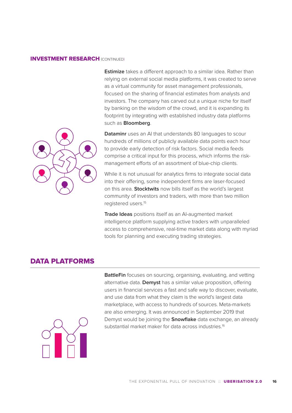#### INVESTMENT RESEARCH (CONTINUED)

**Estimize** takes a different approach to a similar idea. Rather than relying on external social media platforms, it was created to serve as a virtual community for asset management professionals, focused on the sharing of financial estimates from analysts and investors. The company has carved out a unique niche for itself by banking on the wisdom of the crowd, and it is expanding its footprint by integrating with established industry data platforms such as **Bloomberg**.



**Dataminr** uses an AI that understands 80 languages to scour hundreds of millions of publicly available data points each hour to provide early detection of risk factors. Social media feeds comprise a critical input for this process, which informs the riskmanagement efforts of an assortment of blue-chip clients.

While it is not unusual for analytics firms to integrate social data into their offering, some independent firms are laser-focused on this area. **Stocktwits** now bills itself as the world's largest community of investors and traders, with more than two million registered users.15

**Trade Ideas** positions itself as an AI-augmented market intelligence platform supplying active traders with unparalleled access to comprehensive, real-time market data along with myriad tools for planning and executing trading strategies.

#### DATA PLATFORMS

**BattleFin** focuses on sourcing, organising, evaluating, and vetting alternative data. **Demyst** has a similar value proposition, offering users in financial services a fast and safe way to discover, evaluate, and use data from what they claim is the world's largest data marketplace, with access to hundreds of sources. Meta-markets are also emerging. It was announced in September 2019 that Demyst would be joining the **Snowflake** data exchange, an already substantial market maker for data across industries.<sup>16</sup>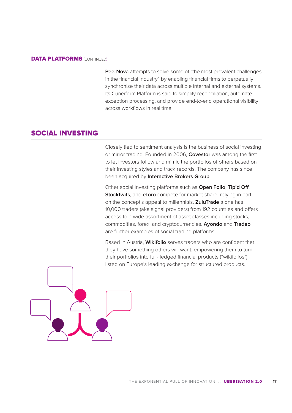#### **DATA PLATFORMS (CONTINUED)**

**PeerNova** attempts to solve some of "the most prevalent challenges in the financial industry" by enabling financial firms to perpetually synchronise their data across multiple internal and external systems. Its Cuneiform Platform is said to simplify reconciliation, automate exception processing, and provide end-to-end operational visibility across workflows in real time.

#### SOCIAL INVESTING

Closely tied to sentiment analysis is the business of social investing or mirror trading. Founded in 2006, **Covestor** was among the first to let investors follow and mimic the portfolios of others based on their investing styles and track records. The company has since been acquired by **Interactive Brokers Group**.

Other social investing platforms such as **Open Folio**, **Tip'd Off**, **Stocktwits**, and **eToro** compete for market share, relying in part on the concept's appeal to millennials. **ZuluTrade** alone has 10,000 traders (aka signal providers) from 192 countries and offers access to a wide assortment of asset classes including stocks, commodities, forex, and cryptocurrencies. **Ayondo** and **Tradeo** are further examples of social trading platforms.

Based in Austria, **Wikifolio** serves traders who are confident that they have something others will want, empowering them to turn their portfolios into full-fledged financial products ("wikifolios"), listed on Europe's leading exchange for structured products.

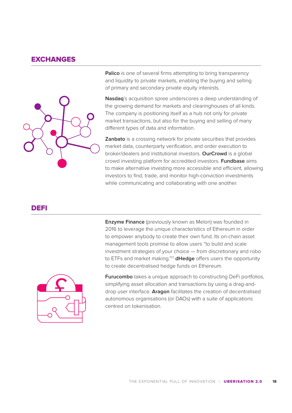#### **EXCHANGES**



**Palico** is one of several firms attempting to bring transparency and liquidity to private markets, enabling the buying and selling of primary and secondary private equity interests.

**Nasdaq**'s acquisition spree underscores a deep understanding of the growing demand for markets and clearinghouses of all kinds. The company is positioning itself as a hub not only for private market transactions, but also for the buying and selling of many different types of data and information.

**Zanbato** is a crossing network for private securities that provides market data, counterparty verification, and order execution to broker/dealers and institutional investors. **OurCrowd** is a global crowd investing platform for accredited investors. **Fundbase** aims to make alternative investing more accessible and efficient, allowing investors to find, trade, and monitor high-conviction investments while communicating and collaborating with one another.

#### DEFI

**Enzyme Finance** (previously known as Melon) was founded in 2016 to leverage the unique characteristics of Ethereum in order to empower anybody to create their own fund. Its on-chain asset management tools promise to allow users "to build and scale investment strategies of your choice — from discretionary and robo to ETFs and market making."17 **dHedge** offers users the opportunity to create decentralised hedge funds on Ethereum.



**Furucombo** takes a unique approach to constructing DeFi portfolios, simplifying asset allocation and transactions by using a drag-anddrop user interface. **Aragon** facilitates the creation of decentralised autonomous organisations (or DAOs) with a suite of applications centred on tokenisation.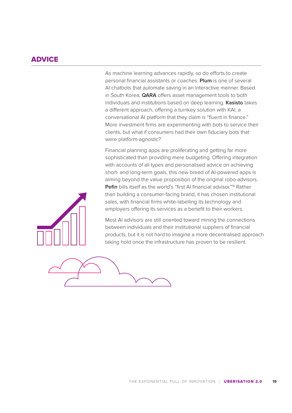#### **ADVICE**

As machine learning advances rapidly, so do efforts to create personal financial assistants or coaches. **Plum** is one of several AI chatbots that automate saving in an interactive manner. Based in South Korea, **QARA** offers asset management tools to both individuals and institutions based on deep learning. **Kasisto** takes a different approach, offering a turnkey solution with KAI, a conversational AI platform that they claim is "fluent in finance." More investment firms are experimenting with bots to service their clients, but what if consumers had their own fiduciary bots that were platform-agnostic?

Financial planning apps are proliferating and getting far more sophisticated than providing mere budgeting. Offering integration with accounts of all types and personalised advice on achieving short- and long-term goals, this new breed of AI-powered apps is aiming beyond the value proposition of the original robo-advisors. **Pefin** bills itself as the world's "first AI financial advisor."<sup>18</sup> Rather than building a consumer-facing brand, it has chosen institutional sales, with financial firms white-labelling its technology and employers offering its services as a benefit to their workers.



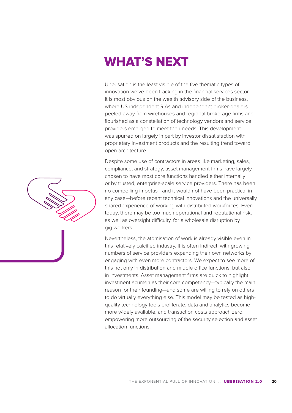# WHAT'S NEXT

Uberisation is the least visible of the five thematic types of innovation we've been tracking in the financial services sector. It is most obvious on the wealth advisory side of the business, where US independent RIAs and independent broker-dealers peeled away from wirehouses and regional brokerage firms and flourished as a constellation of technology vendors and service providers emerged to meet their needs. This development was spurred on largely in part by investor dissatisfaction with proprietary investment products and the resulting trend toward open architecture.

Despite some use of contractors in areas like marketing, sales, compliance, and strategy, asset management firms have largely chosen to have most core functions handled either internally or by trusted, enterprise-scale service providers. There has been no compelling impetus—and it would not have been practical in any case—before recent technical innovations and the universally shared experience of working with distributed workforces. Even today, there may be too much operational and reputational risk, as well as oversight difficulty, for a wholesale disruption by gig workers.

Nevertheless, the atomisation of work is already visible even in this relatively calcified industry. It is often indirect, with growing numbers of service providers expanding their own networks by engaging with even more contractors. We expect to see more of this not only in distribution and middle office functions, but also in investments. Asset management firms are quick to highlight investment acumen as their core competency—typically the main reason for their founding—and some are willing to rely on others to do virtually everything else. This model may be tested as highquality technology tools proliferate, data and analytics become more widely available, and transaction costs approach zero, empowering more outsourcing of the security selection and asset allocation functions.

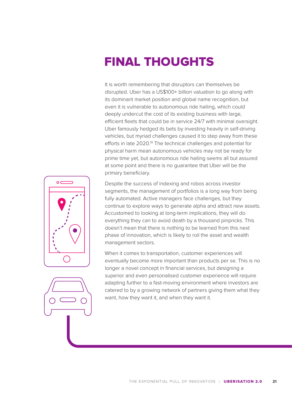# FINAL THOUGHTS

It is worth remembering that disruptors can themselves be disrupted. Uber has a US\$100+ billion valuation to go along with its dominant market position and global name recognition, but even it is vulnerable to autonomous ride hailing, which could deeply undercut the cost of its existing business with large, efficient fleets that could be in service 24/7 with minimal oversight. Uber famously hedged its bets by investing heavily in self-driving vehicles, but myriad challenges caused it to step away from these efforts in late 2020.<sup>19</sup> The technical challenges and potential for physical harm mean autonomous vehicles may not be ready for prime time yet, but autonomous ride hailing seems all but assured at some point and there is no guarantee that Uber will be the primary beneficiary.





Despite the success of indexing and robos across investor segments, the management of portfolios is a long way from being fully automated. Active managers face challenges, but they continue to explore ways to generate alpha and attract new assets. Accustomed to looking at long-term implications, they will do everything they can to avoid death by a thousand pinpricks. This doesn't mean that there is nothing to be learned from this next phase of innovation, which is likely to roil the asset and wealth management sectors.

When it comes to transportation, customer experiences will eventually become more important than products per se. This is no longer a novel concept in financial services, but designing a superior and even personalised customer experience will require adapting further to a fast-moving environment where investors are catered to by a growing network of partners giving them what they want, how they want it, and when they want it.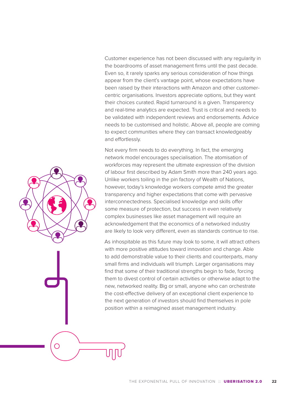Customer experience has not been discussed with any regularity in the boardrooms of asset management firms until the past decade. Even so, it rarely sparks any serious consideration of how things appear from the client's vantage point, whose expectations have been raised by their interactions with Amazon and other customercentric organisations. Investors appreciate options, but they want their choices curated. Rapid turnaround is a given. Transparency and real-time analytics are expected. Trust is critical and needs to be validated with independent reviews and endorsements. Advice needs to be customised and holistic. Above all, people are coming to expect communities where they can transact knowledgeably and effortlessly.

Not every firm needs to do everything. In fact, the emerging network model encourages specialisation. The atomisation of workforces may represent the ultimate expression of the division of labour first described by Adam Smith more than 240 years ago. Unlike workers toiling in the pin factory of Wealth of Nations, however, today's knowledge workers compete amid the greater transparency and higher expectations that come with pervasive interconnectedness. Specialised knowledge and skills offer some measure of protection, but success in even relatively complex businesses like asset management will require an acknowledgement that the economics of a networked industry are likely to look very different, even as standards continue to rise.

As inhospitable as this future may look to some, it will attract others with more positive attitudes toward innovation and change. Able to add demonstrable value to their clients and counterparts, many small firms and individuals will triumph. Larger organisations may find that some of their traditional strengths begin to fade, forcing them to divest control of certain activities or otherwise adapt to the new, networked reality. Big or small, anyone who can orchestrate the cost-effective delivery of an exceptional client experience to the next generation of investors should find themselves in pole position within a reimagined asset management industry.

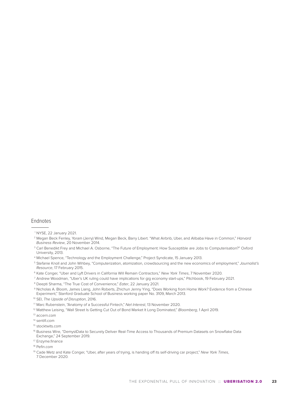#### Endnotes

- 2 Megan Beck Fenley, Yoram (Jerry) Wind, Megan Beck, Barry Libert. "What Airbnb, Uber, and Alibaba Have in Common," *Harvard Business Review*, 20 November 2014.
- <sup>3</sup> Carl Benedikt Frey and Michael A. Osborne, "The Future of Employment: How Susceptible are Jobs to Computerisation?" Oxford University, 2013.
- <sup>4</sup> Michael Spence, "Technology and the Employment Challenge," Project Syndicate, 15 January 2013.
- 5 Stefanie Knoll and John Wihbey, "Computerization, atomization, crowdsourcing and the new economics of employment," *Journalist's Resource*, 17 February 2015.
- 6 Kate Conger, "Uber and Lyft Drivers in California Will Remain Contractors," *New York Times*, 7 November 2020.
- 7 Andrew Woodman, "Uber's UK ruling could have implications for gig economy start-ups," Pitchbook, 19 February 2021.
- <sup>8</sup> Deepti Sharma, "The True Cost of Convenience," *Eater*, 22 January 2021.
- 9 Nicholas A. Bloom, James Liang, John Roberts, Zhichun Jenny Ying, "Does Working from Home Work? Evidence from a Chinese
- Experiment," Stanford Graduate School of Business working paper No. 3109, March 2013.
- <sup>10</sup> SEI, *The Upside of Disruption*, 2016.
- 1 1 Marc Rubenstein, "Anatomy of a Successful Fintech," *Net Interest*, 13 November 2020.
- <sup>12</sup> Matthew Leising, "Wall Street Is Getting Cut Out of Bond Market It Long Dominated," *Bloomberg*, 1 April 2019.
- <sup>13</sup> accern.com
- 14 sentifi.com

- <sup>17</sup> Enzyme.finance
- 18 Pefin.com

<sup>1</sup> NYSE, 22 January 2021.

<sup>15</sup> stocktwits.com

<sup>&</sup>lt;sup>16</sup> Business Wire, "DemystData to Securely Deliver Real-Time Access to Thousands of Premium Datasets on Snowflake Data Exchange," 24 September 2019.

<sup>19</sup> Cade Metz and Kate Conger, "Uber, after years of trying, is handing off its self-driving car project," *New York Times*, 7 December 2020.